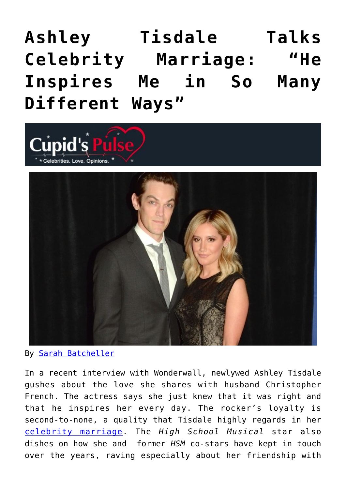# **[Ashley Tisdale Talks](https://cupidspulse.com/81037/ashley-tisdale-husband-christopher-french/) [Celebrity Marriage: "He](https://cupidspulse.com/81037/ashley-tisdale-husband-christopher-french/) [Inspires Me in So Many](https://cupidspulse.com/81037/ashley-tisdale-husband-christopher-french/) [Different Ways"](https://cupidspulse.com/81037/ashley-tisdale-husband-christopher-french/)**



By [Sarah Batcheller](http://cupidspulse.com/104594/sarah-batcheller/)

In a recent interview with Wonderwall, newlywed Ashley Tisdale gushes about the love she shares with husband Christopher French. The actress says she just knew that it was right and that he inspires her every day. The rocker's loyalty is second-to-none, a quality that Tisdale highly regards in her [celebrity marriage](http://cupidspulse.com/celebrity-relationships/wedding-engagement/). The *High School Musical* star also dishes on how she and former *HSM* co-stars have kept in touch over the years, raving especially about her friendship with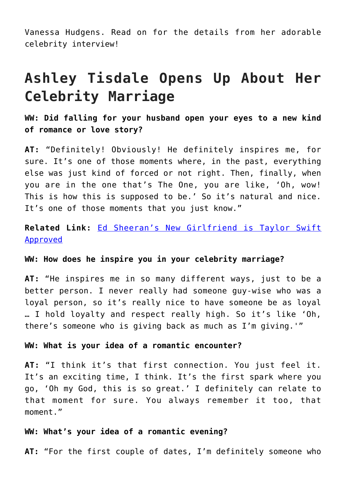Vanessa Hudgens. Read on for the details from her adorable celebrity interview!

### **Ashley Tisdale Opens Up About Her Celebrity Marriage**

**WW: Did falling for your husband open your eyes to a new kind of romance or love story?**

**AT:** "Definitely! Obviously! He definitely inspires me, for sure. It's one of those moments where, in the past, everything else was just kind of forced or not right. Then, finally, when you are in the one that's The One, you are like, 'Oh, wow! This is how this is supposed to be.' So it's natural and nice. It's one of those moments that you just know."

**Related Link:** [Ed Sheeran's New Girlfriend is Taylor Swift](http://cupidspulse.com/75298/ed-sheeran-reveals-a-greek-girlfriend/) [Approved](http://cupidspulse.com/75298/ed-sheeran-reveals-a-greek-girlfriend/)

#### **WW: How does he inspire you in your celebrity marriage?**

**AT:** "He inspires me in so many different ways, just to be a better person. I never really had someone guy-wise who was a loyal person, so it's really nice to have someone be as loyal … I hold loyalty and respect really high. So it's like 'Oh, there's someone who is giving back as much as I'm giving.'"

#### **WW: What is your idea of a romantic encounter?**

**AT:** "I think it's that first connection. You just feel it. It's an exciting time, I think. It's the first spark where you go, 'Oh my God, this is so great.' I definitely can relate to that moment for sure. You always remember it too, that moment."

#### **WW: What's your idea of a romantic evening?**

**AT:** "For the first couple of dates, I'm definitely someone who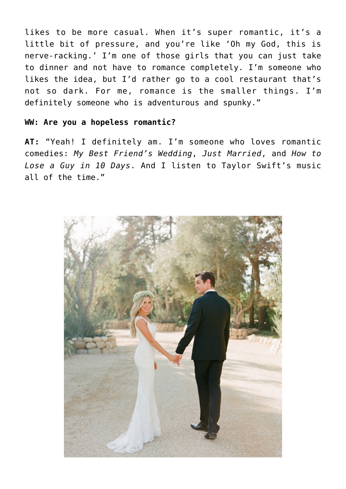likes to be more casual. When it's super romantic, it's a little bit of pressure, and you're like 'Oh my God, this is nerve-racking.' I'm one of those girls that you can just take to dinner and not have to romance completely. I'm someone who likes the idea, but I'd rather go to a cool restaurant that's not so dark. For me, romance is the smaller things. I'm definitely someone who is adventurous and spunky."

#### **WW: Are you a hopeless romantic?**

**AT:** "Yeah! I definitely am. I'm someone who loves romantic comedies: *My Best Friend's Wedding*, *Just Married*, and *How to Lose a Guy in 10 Days*. And I listen to Taylor Swift's music all of the time."

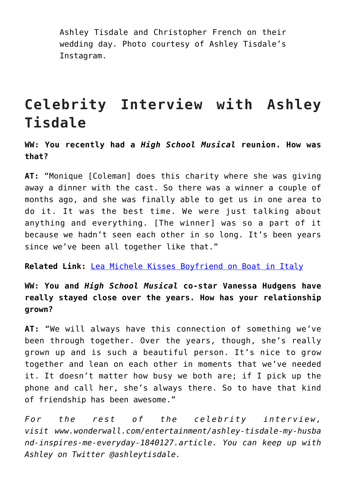Ashley Tisdale and Christopher French on their wedding day. Photo courtesy of Ashley Tisdale's Instagram.

### **Celebrity Interview with Ashley Tisdale**

**WW: You recently had a** *High School Musical* **reunion. How was that?**

**AT:** "Monique [Coleman] does this charity where she was giving away a dinner with the cast. So there was a winner a couple of months ago, and she was finally able to get us in one area to do it. It was the best time. We were just talking about anything and everything. [The winner] was so a part of it because we hadn't seen each other in so long. It's been years since we've been all together like that."

**Related Link:** [Lea Michele Kisses Boyfriend on Boat in Italy](http://cupidspulse.com/78198/lea-michele-boyfriend-italy/)

**WW: You and** *High School Musical* **co-star Vanessa Hudgens have really stayed close over the years. How has your relationship grown?**

**AT:** "We will always have this connection of something we've been through together. Over the years, though, she's really grown up and is such a beautiful person. It's nice to grow together and lean on each other in moments that we've needed it. It doesn't matter how busy we both are; if I pick up the phone and call her, she's always there. So to have that kind of friendship has been awesome."

*For the rest of the celebrity interview, visit www.wonderwall.com/entertainment/ashley-tisdale-my-husba nd-inspires-me-everyday-1840127.article. You can keep up with Ashley on Twitter @ashleytisdale.*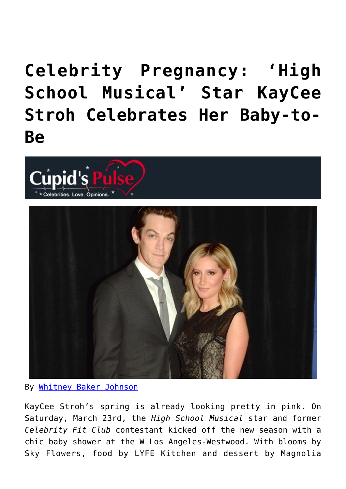## **[Celebrity Pregnancy: 'High](https://cupidspulse.com/47325/high-school-musical-kaycee-stroh-baby-shower/) [School Musical' Star KayCee](https://cupidspulse.com/47325/high-school-musical-kaycee-stroh-baby-shower/) [Stroh Celebrates Her Baby-to-](https://cupidspulse.com/47325/high-school-musical-kaycee-stroh-baby-shower/)[Be](https://cupidspulse.com/47325/high-school-musical-kaycee-stroh-baby-shower/)**





#### By [Whitney Baker Johnson](http://cupidspulse.com/104601/whitney-johnson/)

KayCee Stroh's spring is already looking pretty in pink. On Saturday, March 23rd, the *High School Musical* star and former *Celebrity Fit Club* contestant kicked off the new season with a chic baby shower at the W Los Angeles-Westwood. With blooms by Sky Flowers, food by LYFE Kitchen and dessert by Magnolia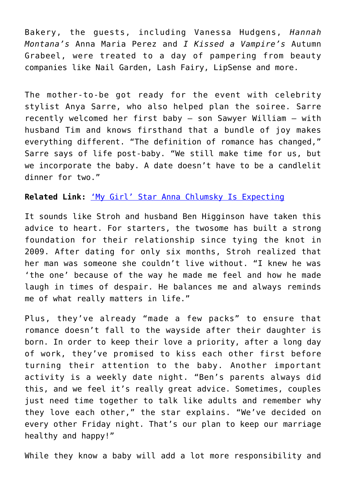Bakery, the guests, including Vanessa Hudgens, *Hannah Montana's* Anna Maria Perez and *I Kissed a Vampire's* Autumn Grabeel, were treated to a day of pampering from beauty companies like Nail Garden, Lash Fairy, LipSense and more.

The mother-to-be got ready for the event with celebrity stylist Anya Sarre, who also helped plan the soiree. Sarre recently welcomed her first baby — son Sawyer William — with husband Tim and knows firsthand that a bundle of joy makes everything different. "The definition of romance has changed," Sarre says of life post-baby. "We still make time for us, but we incorporate the baby. A date doesn't have to be a candlelit dinner for two."

#### **Related Link:** ['My Girl' Star Anna Chlumsky Is Expecting](http://cupidspulse.com/my-girl-star-anna-chlumsky-expecting/)

It sounds like Stroh and husband Ben Higginson have taken this advice to heart. For starters, the twosome has built a strong foundation for their relationship since tying the knot in 2009. After dating for only six months, Stroh realized that her man was someone she couldn't live without. "I knew he was 'the one' because of the way he made me feel and how he made laugh in times of despair. He balances me and always reminds me of what really matters in life."

Plus, they've already "made a few packs" to ensure that romance doesn't fall to the wayside after their daughter is born. In order to keep their love a priority, after a long day of work, they've promised to kiss each other first before turning their attention to the baby. Another important activity is a weekly date night. "Ben's parents always did this, and we feel it's really great advice. Sometimes, couples just need time together to talk like adults and remember why they love each other," the star explains. "We've decided on every other Friday night. That's our plan to keep our marriage healthy and happy!"

While they know a baby will add a lot more responsibility and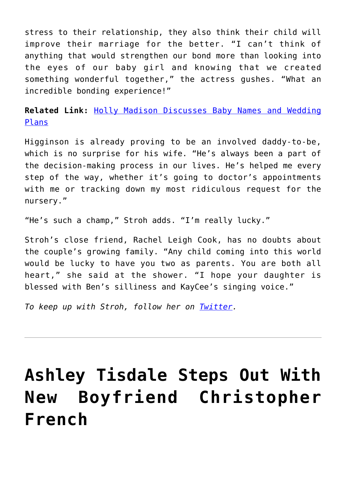stress to their relationship, they also think their child will improve their marriage for the better. "I can't think of anything that would strengthen our bond more than looking into the eyes of our baby girl and knowing that we created something wonderful together," the actress gushes. "What an incredible bonding experience!"

**Related Link:** [Holly Madison Discusses Baby Names and Wedding](http://cupidspulse.com/holly-madison-baby-wedding/) [Plans](http://cupidspulse.com/holly-madison-baby-wedding/)

Higginson is already proving to be an involved daddy-to-be, which is no surprise for his wife. "He's always been a part of the decision-making process in our lives. He's helped me every step of the way, whether it's going to doctor's appointments with me or tracking down my most ridiculous request for the nursery."

"He's such a champ," Stroh adds. "I'm really lucky."

Stroh's close friend, Rachel Leigh Cook, has no doubts about the couple's growing family. "Any child coming into this world would be lucky to have you two as parents. You are both all heart," she said at the shower. "I hope your daughter is blessed with Ben's silliness and KayCee's singing voice."

*To keep up with Stroh, follow her on [Twitter](https://twitter.com/KayCeeStroh).*

## **[Ashley Tisdale Steps Out With](https://cupidspulse.com/43303/ashley-tisdale-new-boyfriend-christopher-french/) [New Boyfriend Christopher](https://cupidspulse.com/43303/ashley-tisdale-new-boyfriend-christopher-french/) [French](https://cupidspulse.com/43303/ashley-tisdale-new-boyfriend-christopher-french/)**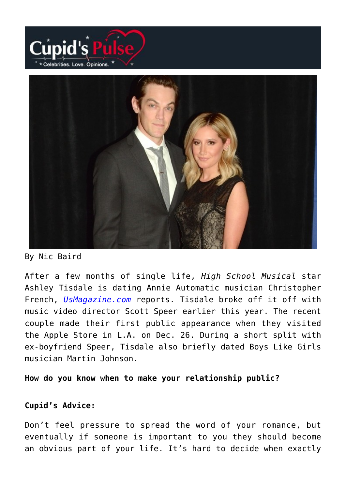



#### By Nic Baird

After a few months of single life, *High School Musical* star Ashley Tisdale is dating Annie Automatic musician Christopher French, *[UsMagazine.com](http://www.usmagazine.com/celebrity-news/news/ashley-tisdale-steps-out-with-new-boyfriend-christopher-french-picture-20122912)* reports. Tisdale broke off it off with music video director Scott Speer earlier this year. The recent couple made their first public appearance when they visited the Apple Store in L.A. on Dec. 26. During a short split with ex-boyfriend Speer, Tisdale also briefly dated Boys Like Girls musician Martin Johnson.

**How do you know when to make your relationship public?**

#### **Cupid's Advice:**

Don't feel pressure to spread the word of your romance, but eventually if someone is important to you they should become an obvious part of your life. It's hard to decide when exactly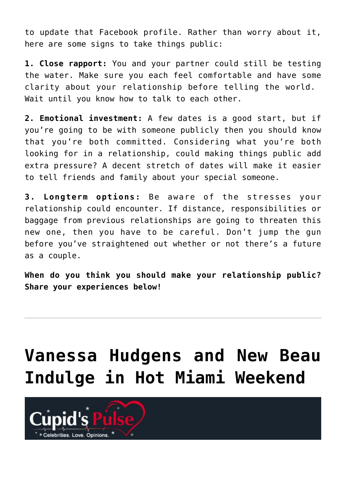to update that Facebook profile. Rather than worry about it, here are some signs to take things public:

**1. Close rapport:** You and your partner could still be testing the water. Make sure you each feel comfortable and have some clarity about your relationship before telling the world. Wait until you know how to talk to each other.

**2. Emotional investment:** A few dates is a good start, but if you're going to be with someone publicly then you should know that you're both committed. Considering what you're both looking for in a relationship, could making things public add extra pressure? A decent stretch of dates will make it easier to tell friends and family about your special someone.

**3. Longterm options:** Be aware of the stresses your relationship could encounter. If distance, responsibilities or baggage from previous relationships are going to threaten this new one, then you have to be careful. Don't jump the gun before you've straightened out whether or not there's a future as a couple.

**When do you think you should make your relationship public? Share your experiences below!**

## **[Vanessa Hudgens and New Beau](https://cupidspulse.com/24831/vanessa-hudgens-and-new-beau-austin-butler-indulge-in-hot-miami-vacation-weekend-at-reosrt/) [Indulge in Hot Miami Weekend](https://cupidspulse.com/24831/vanessa-hudgens-and-new-beau-austin-butler-indulge-in-hot-miami-vacation-weekend-at-reosrt/)**

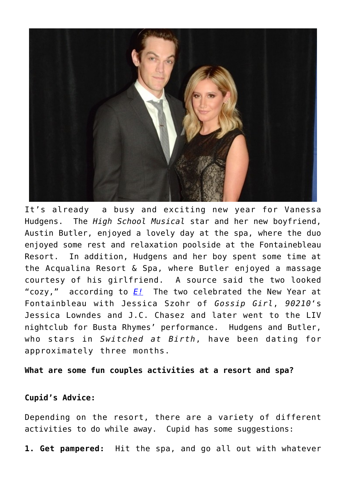

It's already a busy and exciting new year for Vanessa Hudgens. The *High School Musical* star and her new boyfriend, Austin Butler, enjoyed a lovely day at the spa, where the duo enjoyed some rest and relaxation poolside at the Fontainebleau Resort. In addition, Hudgens and her boy spent some time at the Acqualina Resort & Spa, where Butler enjoyed a massage courtesy of his girlfriend. A source said the two looked "cozy," according to *[E!](http://www.eonline.com/news/marc_malkin/vanessa_hudgens_boyfriends_hot_miami/283552)* The two celebrated the New Year at Fontainbleau with Jessica Szohr of *Gossip Girl*, *90210*'s Jessica Lowndes and J.C. Chasez and later went to the LIV nightclub for Busta Rhymes' performance. Hudgens and Butler, who stars in *Switched at Birth*, have been dating for approximately three months.

**What are some fun couples activities at a resort and spa?**

#### **Cupid's Advice:**

Depending on the resort, there are a variety of different activities to do while away. Cupid has some suggestions:

**1. Get pampered:** Hit the spa, and go all out with whatever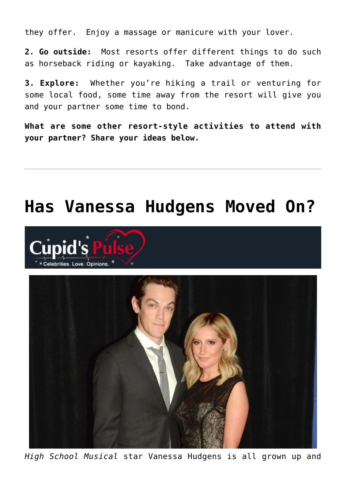they offer. Enjoy a massage or manicure with your lover.

**2. Go outside:** Most resorts offer different things to do such as horseback riding or kayaking. Take advantage of them.

**3. Explore:** Whether you're hiking a trail or venturing for some local food, some time away from the resort will give you and your partner some time to bond.

**What are some other resort-style activities to attend with your partner? Share your ideas below.**

### **[Has Vanessa Hudgens Moved On?](https://cupidspulse.com/11537/has-vanessa-hudgens-moved-on/)**





*High School Musical* star Vanessa Hudgens is all grown up and